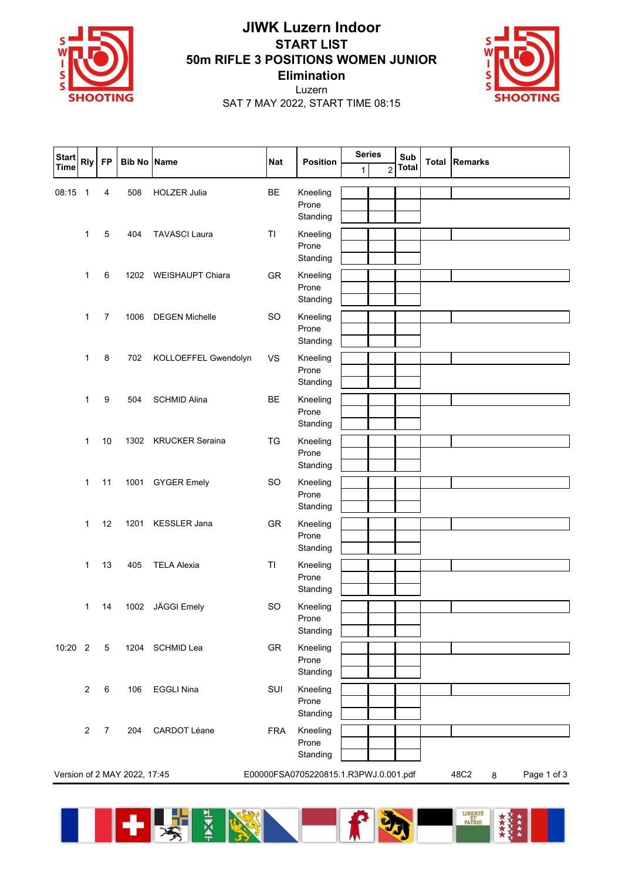

## **JIWK Luzern Indoor START LIST 50m RIFLE 3 POSITIONS WOMEN JUNIOR Elimination**



Luzern SAT 7 MAY 2022, START TIME 08:15

| <b>Start</b> | <b>Rly</b>                   | <b>FP</b>       | <b>Bib No</b> | <b>Name</b>             | <b>Nat</b>     | <b>Position</b>                       | <b>Series</b> |                | Sub          |              | <b>Remarks</b>           |
|--------------|------------------------------|-----------------|---------------|-------------------------|----------------|---------------------------------------|---------------|----------------|--------------|--------------|--------------------------|
| <b>Time</b>  |                              |                 |               |                         |                |                                       | 1             | $\overline{2}$ | <b>Total</b> | <b>Total</b> |                          |
| 08:15        | $\overline{1}$               | 4               | 508           | <b>HOLZER Julia</b>     | BE             | Kneeling<br>Prone<br>Standing         |               |                |              |              |                          |
|              | 1                            | 5               | 404           | <b>TAVASCI Laura</b>    | T <sub>1</sub> | Kneeling<br>Prone<br>Standing         |               |                |              |              |                          |
|              | 1                            | 6               | 1202          | <b>WEISHAUPT Chiara</b> | GR             | Kneeling<br>Prone<br>Standing         |               |                |              |              |                          |
|              | 1                            | $\overline{7}$  | 1006          | <b>DEGEN Michelle</b>   | <b>SO</b>      | Kneeling<br>Prone<br>Standing         |               |                |              |              |                          |
|              | 1                            | $\,8\,$         | 702           | KOLLOEFFEL Gwendolyn    | <b>VS</b>      | Kneeling<br>Prone<br>Standing         |               |                |              |              |                          |
|              | 1                            | 9               | 504           | <b>SCHMID Alina</b>     | <b>BE</b>      | Kneeling<br>Prone<br>Standing         |               |                |              |              |                          |
|              | 1                            | 10              | 1302          | <b>KRUCKER Seraina</b>  | TG             | Kneeling<br>Prone<br>Standing         |               |                |              |              |                          |
|              | 1                            | 11              | 1001          | <b>GYGER Emely</b>      | <b>SO</b>      | Kneeling<br>Prone<br>Standing         |               |                |              |              |                          |
|              | 1                            | 12              | 1201          | <b>KESSLER Jana</b>     | GR             | Kneeling<br>Prone<br>Standing         |               |                |              |              |                          |
|              | 1                            | 13              | 405           | <b>TELA Alexia</b>      | TI             | Kneeling<br>Prone<br>Standing         |               |                |              |              |                          |
|              | 1                            | 14              | 1002          | JÄGGI Emely             | <b>SO</b>      | Kneeling<br>Prone<br>Standing         |               |                |              |              |                          |
| 10:20 2      |                              | $5\phantom{.0}$ | 1204          | SCHMID Lea              | GR             | Kneeling<br>Prone<br>Standing         |               |                |              |              |                          |
|              | $\overline{c}$               | $\,6\,$         | 106           | <b>EGGLI Nina</b>       | SUI            | Kneeling<br>Prone<br>Standing         |               |                |              |              |                          |
|              | $\sqrt{2}$                   | $\overline{7}$  | 204           | CARDOT Léane            | <b>FRA</b>     | Kneeling<br>Prone<br>Standing         |               |                |              |              |                          |
|              | Version of 2 MAY 2022, 17:45 |                 |               |                         |                | E00000FSA0705220815.1.R3PWJ.0.001.pdf |               |                |              |              | 48C2<br>Page 1 of 3<br>8 |

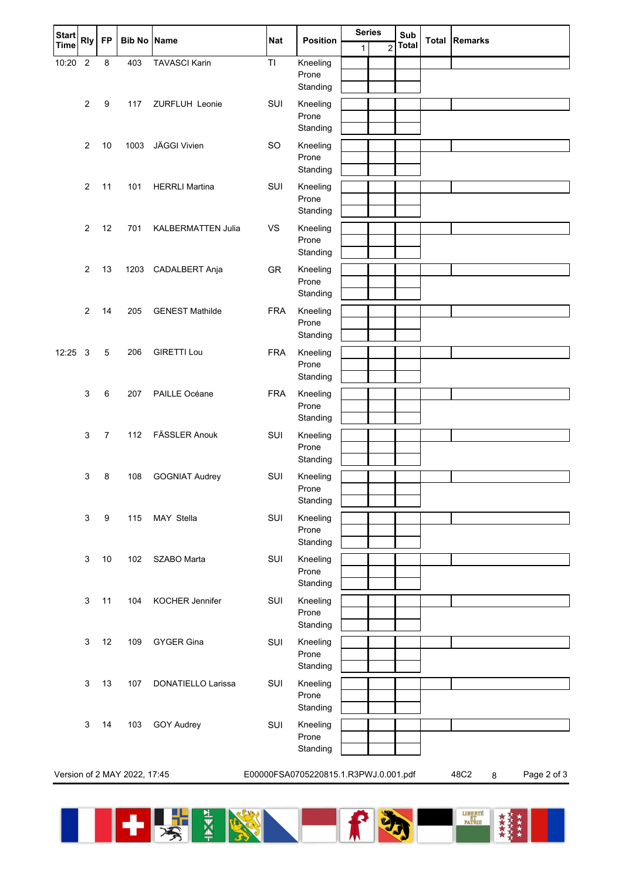| <b>Start</b> | <b>Rly</b>     | <b>FP</b>        | <b>Bib No Name</b>           |                           | <b>Nat</b>                            | <b>Position</b>                                                |              | <b>Series</b>  |              | Total | <b>Remarks</b>           |
|--------------|----------------|------------------|------------------------------|---------------------------|---------------------------------------|----------------------------------------------------------------|--------------|----------------|--------------|-------|--------------------------|
| <b>Time</b>  |                |                  |                              |                           |                                       |                                                                | $\mathbf{1}$ | $\overline{c}$ | <b>Total</b> |       |                          |
| 10:20        | $\overline{2}$ | 8                | 403                          | <b>TAVASCI Karin</b>      | TI                                    | Kneeling<br>Prone                                              |              |                |              |       |                          |
|              |                |                  |                              |                           |                                       | Standing                                                       |              |                |              |       |                          |
|              | $\overline{2}$ | 9                | 117                          | ZURFLUH Leonie            | SUI                                   | Kneeling                                                       |              |                |              |       |                          |
|              |                |                  |                              |                           |                                       | Prone                                                          |              |                |              |       |                          |
|              |                |                  |                              |                           |                                       | Standing                                                       |              |                |              |       |                          |
|              | 2              | 10               | 1003                         | JÄGGI Vivien              | <b>SO</b>                             | Kneeling<br>Prone                                              |              |                |              |       |                          |
|              |                |                  |                              |                           |                                       | Standing                                                       |              |                |              |       |                          |
|              | 2              | 11               | 101                          | <b>HERRLI Martina</b>     | SUI                                   | Kneeling                                                       |              |                |              |       |                          |
|              |                |                  |                              |                           |                                       | Prone<br>Standing                                              |              |                |              |       |                          |
|              | 2              | 12               | 701                          | <b>KALBERMATTEN Julia</b> | <b>VS</b>                             | Kneeling                                                       |              |                |              |       |                          |
|              |                |                  |                              |                           |                                       | Prone                                                          |              |                |              |       |                          |
|              |                |                  |                              |                           |                                       | Standing                                                       |              |                |              |       |                          |
|              | $\overline{2}$ | 13               | 1203                         | CADALBERT Anja            | GR                                    | Kneeling                                                       |              |                |              |       |                          |
|              |                |                  |                              |                           |                                       | Prone<br>Standing                                              |              |                |              |       |                          |
|              | $\overline{2}$ | 14               | 205                          | <b>GENEST Mathilde</b>    | <b>FRA</b>                            | Kneeling                                                       |              |                |              |       |                          |
|              |                |                  |                              |                           |                                       | Prone                                                          |              |                |              |       |                          |
|              |                |                  |                              |                           |                                       | Standing                                                       |              |                |              |       |                          |
| 12:25        | 3              | 5                | 206                          | <b>GIRETTI Lou</b>        | <b>FRA</b>                            | Kneeling                                                       |              |                |              |       |                          |
|              |                |                  |                              |                           |                                       | Prone<br>Standing                                              |              |                |              |       |                          |
|              | 3              | $\,6\,$          | 207                          | PAILLE Océane             | <b>FRA</b>                            | Kneeling                                                       |              |                |              |       |                          |
|              |                |                  |                              |                           |                                       | Prone                                                          |              |                |              |       |                          |
|              |                |                  |                              |                           |                                       | Standing                                                       |              |                |              |       |                          |
|              | 3              | $\overline{7}$   | 112                          | FÄSSLER Anouk             | SUI                                   | Kneeling                                                       |              |                |              |       |                          |
|              |                |                  |                              |                           |                                       | Prone<br>Standing                                              |              |                |              |       |                          |
|              | 3              | 8                | 108                          | <b>GOGNIAT Audrey</b>     | SUI                                   | Kneeling                                                       |              |                |              |       |                          |
|              |                |                  |                              |                           |                                       | Prone                                                          |              |                |              |       |                          |
|              |                |                  |                              |                           |                                       | Standing                                                       |              |                |              |       |                          |
|              | 3              | $\boldsymbol{9}$ | 115                          | MAY Stella                | SUI                                   | Kneeling<br>Prone<br>Standing<br>Kneeling<br>Prone<br>Standing |              |                |              |       |                          |
|              |                |                  |                              |                           |                                       |                                                                |              |                |              |       |                          |
|              | 3              | $10$             | 102                          | SZABO Marta               | SUI                                   |                                                                |              |                |              |       |                          |
|              |                |                  |                              |                           |                                       |                                                                |              |                |              |       |                          |
|              |                |                  |                              |                           |                                       |                                                                |              |                |              |       |                          |
|              | 3              | 11               | 104                          | KOCHER Jennifer           | SUI                                   | Kneeling<br>Prone                                              |              |                |              |       |                          |
|              |                |                  |                              |                           |                                       | Standing                                                       |              |                |              |       |                          |
|              | 3              | 12               | 109                          | <b>GYGER Gina</b>         | SUI                                   | Kneeling                                                       |              |                |              |       |                          |
|              |                |                  |                              |                           |                                       | Prone                                                          |              |                |              |       |                          |
|              |                | 13               |                              | DONATIELLO Larissa        |                                       | Standing                                                       |              |                |              |       |                          |
|              | 3              |                  | 107                          |                           | SUI                                   | Kneeling<br>Prone                                              |              |                |              |       |                          |
|              |                |                  |                              |                           |                                       | Standing                                                       |              |                |              |       |                          |
|              | 3              | 14               | 103                          | <b>GOY Audrey</b>         | SUI                                   | Kneeling                                                       |              |                |              |       |                          |
|              |                |                  |                              |                           |                                       | Prone<br>Standing                                              |              |                |              |       |                          |
|              |                |                  |                              |                           |                                       |                                                                |              |                |              |       |                          |
|              |                |                  | Version of 2 MAY 2022, 17:45 |                           | E00000FSA0705220815.1.R3PWJ.0.001.pdf |                                                                |              |                |              |       | 48C2<br>Page 2 of 3<br>8 |
|              |                |                  |                              |                           |                                       |                                                                |              |                |              |       |                          |